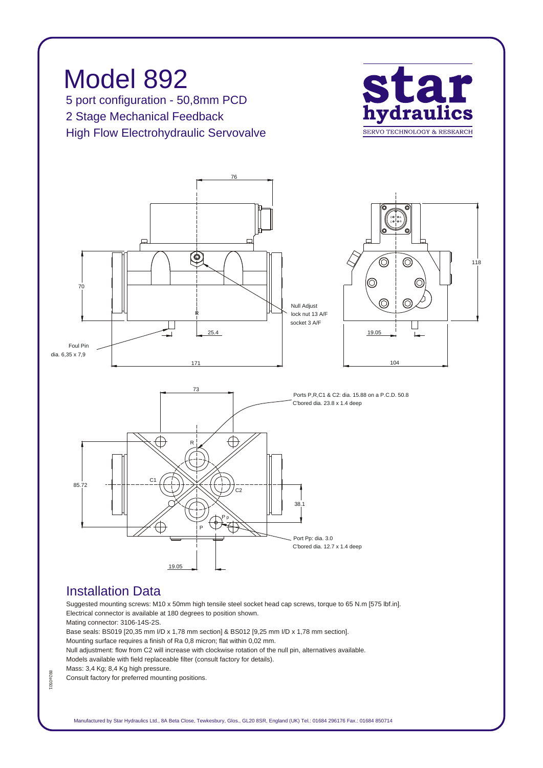

## *Installation Data*

*Suggested mounting screws: M10 x 50mm high tensile steel socket head cap screws, torque to 65 N.m [575 lbf.in]. Electrical connector is available at 180 degrees to position shown.*

*Mating connector: 3106-14S-2S.*

*Base seals: BS019 [20,35 mm I/D x 1,78 mm section] & BS012 [9,25 mm I/D x 1,78 mm section]. Mounting surface requires a finish of Ra 0,8 micron; flat within 0,02 mm.*

*Null adjustment: flow from C2 will increase with clockwise rotation of the null pin, alternatives available. Models available with field replaceable filter (consult factory for details).*

*Mass: 3,4 Kg; 8,4 Kg high pressure.*

*Consult factory for preferred mounting positions.*

892e050 *892e0501*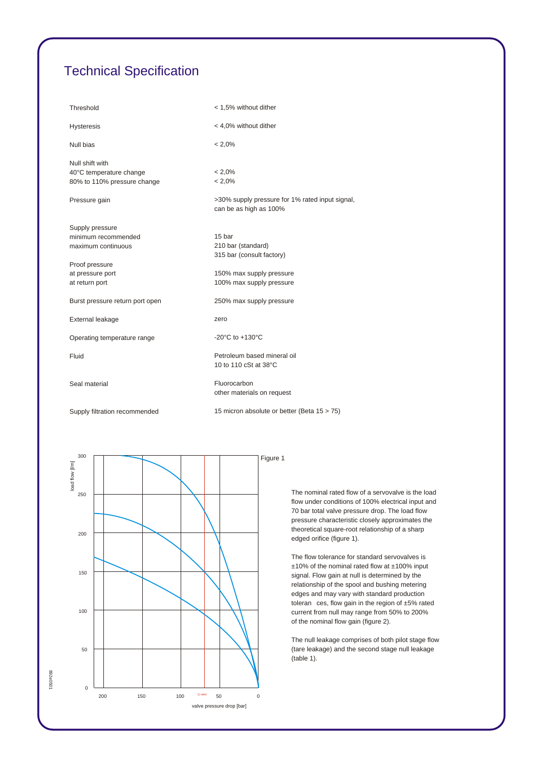## *Technical Specification*

| Threshold                                                                 | < 1,5% without dither                                                     |
|---------------------------------------------------------------------------|---------------------------------------------------------------------------|
| <b>Hysteresis</b>                                                         | < 4,0% without dither                                                     |
| Null bias                                                                 | $< 2.0\%$                                                                 |
| Null shift with<br>40°C temperature change<br>80% to 110% pressure change | $< 2.0\%$<br>$< 2.0\%$                                                    |
| Pressure gain                                                             | >30% supply pressure for 1% rated input signal,<br>can be as high as 100% |
| Supply pressure<br>minimum recommended<br>maximum continuous              | 15 bar<br>210 bar (standard)<br>315 bar (consult factory)                 |
| Proof pressure<br>at pressure port<br>at return port                      | 150% max supply pressure<br>100% max supply pressure                      |
| Burst pressure return port open                                           | 250% max supply pressure                                                  |
| External leakage                                                          | zero                                                                      |
| Operating temperature range                                               | -20 $^{\circ}$ C to +130 $^{\circ}$ C                                     |
| Fluid                                                                     | Petroleum based mineral oil<br>10 to 110 cSt at 38°C                      |
| Seal material                                                             | Fluorocarbon<br>other materials on request                                |
| Supply filtration recommended                                             | 15 micron absolute or better (Beta 15 > 75)                               |



*The nominal rated flow of a servovalve is the load flow under conditions of 100% electrical input and 70 bar total valve pressure drop. The load flow pressure characteristic closely approximates the theoretical square-root relationship of a sharp edged orifice (figure 1).*

*The flow tolerance for standard servovalves is ±10% of the nominal rated flow at ±100% input signal. Flow gain at null is determined by the relationship of the spool and bushing metering edges and may vary with standard production toleran ces, flow gain in the region of ±5% rated current from null may range from 50% to 200% of the nominal flow gain (figure 2).*

*The null leakage comprises of both pilot stage flow (tare leakage) and the second stage null leakage (table 1).*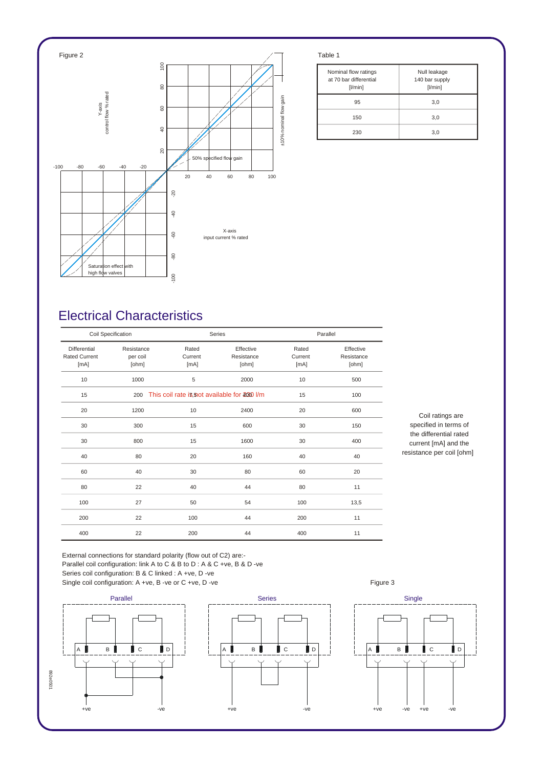

| Nominal flow ratings<br>at 70 bar differential<br>[1/min] | Null leakage<br>140 bar supply<br>[1/min] |
|-----------------------------------------------------------|-------------------------------------------|
| 95                                                        | 3,0                                       |
| 150                                                       | 3,0                                       |
| 230                                                       | 3,0                                       |

## *Electrical Characteristics*

| Coil Specification                           |                                 |                          | Series                                        |                          | Parallel                         |  |
|----------------------------------------------|---------------------------------|--------------------------|-----------------------------------------------|--------------------------|----------------------------------|--|
| Differential<br><b>Rated Current</b><br>[mA] | Resistance<br>per coil<br>[ohm] | Rated<br>Current<br>[mA] | Effective<br>Resistance<br>[ohm]              | Rated<br>Current<br>[mA] | Effective<br>Resistance<br>[ohm] |  |
| 10                                           | 1000                            | 5                        | 2000                                          | 10                       | 500                              |  |
| 15                                           | 200                             |                          | This coil rate is, not available for 2000 l/m |                          | 100                              |  |
| 20                                           | 1200                            | 10                       | 2400                                          | 20                       | 600                              |  |
| 30                                           | 300                             | 15                       | 600                                           | 30                       | 150                              |  |
| 30                                           | 800                             | 15                       | 1600                                          | 30                       | 400                              |  |
| 40                                           | 80                              | 20                       | 160                                           | 40                       | 40                               |  |
| 60                                           | 40                              | 30                       | 80                                            | 60                       | 20                               |  |
| 80                                           | 22                              | 40                       | 44                                            | 80                       | 11                               |  |
| 100                                          | 27                              | 50                       | 54                                            | 100                      | 13,5                             |  |
| 200                                          | 22                              | 100                      | 44                                            | 200                      | 11                               |  |
| 400                                          | 22                              | 200                      | 44                                            | 400                      | 11                               |  |

*Coil ratings are specified in terms of the differential rated current [mA] and the resistance per coil [ohm]*

*External connections for standard polarity (flow out of C2) are:- Parallel coil configuration: link A to C & B to D : A & C +ve, B & D -ve Series coil configuration: B & C linked : A +ve, D -ve* Single coil configuration: A +ve, B -ve or C +ve, D -ve **Figure 3** Figure 3